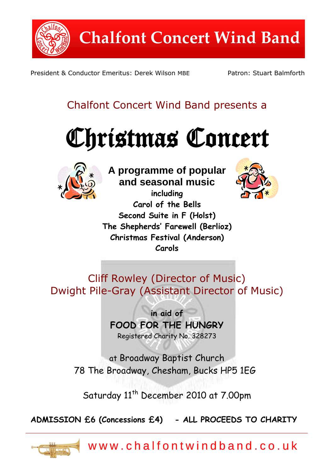

President & Conductor Emeritus: Derek Wilson MBE Patron: Stuart Balmforth

# Chalfont Concert Wind Band presents a





**A programme of popular and seasonal music**

**including Carol of the Bells Second Suite in F (Holst) The Shepherds" Farewell (Berlioz) Christmas Festival (Anderson) Carols**



Cliff Rowley (Director of Music) Dwight Pile-Gray (Assistant Director of Music)

> **in aid of FOOD FOR THE HUNGRY** Registered Charity No. 328273

at Broadway Baptist Church 78 The Broadway, Chesham, Bucks HP5 1EG

Saturday 11<sup>th</sup> December 2010 at 7.00pm

**ADMISSION £6 (Concessions £4) - ALL PROCEEDS TO CHARITY**



w w w . c h a l f o n t w i n d b a n d . c o . u k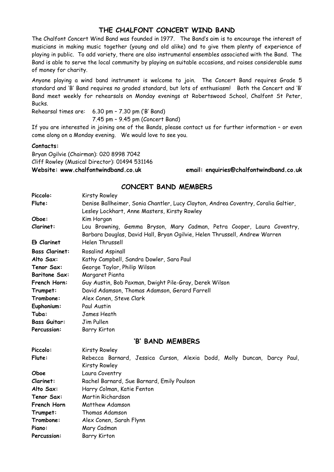### **THE CHALFONT CONCERT WIND BAND**

The Chalfont Concert Wind Band was founded in 1977. The Band's aim is to encourage the interest of musicians in making music together (young and old alike) and to give them plenty of experience of playing in public. To add variety, there are also instrumental ensembles associated with the Band. The Band is able to serve the local community by playing on suitable occasions, and raises considerable sums of money for charity.

Anyone playing a wind band instrument is welcome to join. The Concert Band requires Grade 5 standard and 'B' Band requires no graded standard, but lots of enthusiasm! Both the Concert and 'B' Band meet weekly for rehearsals on Monday evenings at Robertswood School, Chalfont St Peter, Bucks.

Rehearsal times are: 6.30 pm – 7.30 pm ('B' Band)

7.45 pm – 9.45 pm (Concert Band)

If you are interested in joining one of the Bands, please contact us for further information – or even come along on a Monday evening. We would love to see you.

### **Contacts:**

Bryan Ogilvie (Chairman): 020 8998 7042 Cliff Rowley (Musical Director): 01494 531146

**Website: www.chalfontwindband.co.uk email: enquiries@chalfontwindband.co.uk** 

### **CONCERT BAND MEMBERS**

| Piccolo:              | <b>Kirsty Rowley</b>                                                               |
|-----------------------|------------------------------------------------------------------------------------|
| Flute:                | Denise Ballheimer, Sonia Chantler, Lucy Clayton, Andrea Coventry, Coralia Galtier, |
|                       | Lesley Lockhart, Anne Masters, Kirsty Rowley                                       |
| Oboe:                 | Kim Horgan                                                                         |
| Clarinet:             | Lou Browning, Gemma Bryson, Mary Cadman, Petra Cooper, Laura Coventry,             |
|                       | Barbara Douglas, David Hall, Bryan Ogilvie, Helen Thrussell, Andrew Warren         |
| Eb Clarinet           | Helen Thrussell                                                                    |
| <b>Bass Clarinet:</b> | Rosalind Aspinall                                                                  |
| Alto Sax:             | Kathy Campbell, Sandra Dowler, Sara Paul                                           |
| Tenor Sax:            | George Taylor, Philip Wilson                                                       |
| <b>Baritone Sax:</b>  | Margaret Pianta                                                                    |
| French Horn:          | Guy Austin, Bob Paxman, Dwight Pile-Gray, Derek Wilson                             |
| Trumpet:              | David Adamson, Thomas Adamson, Gerard Farrell                                      |
| Trombone:             | Alex Conen, Steve Clark                                                            |
| Euphonium:            | Paul Austin                                                                        |
| Tuba:                 | James Heath                                                                        |
| <b>Bass Guitar:</b>   | Jim Pullen                                                                         |
| Percussion:           | <b>Barry Kirton</b>                                                                |
| 'B' BAND MEMBERS      |                                                                                    |
| Piccolo:              | Kirsty Rowley                                                                      |
| Flute:                | Rebecca Barnard, Jessica Curson, Alexia Dodd, Molly Duncan, Darcy Paul,            |
|                       | <b>Kirsty Rowley</b>                                                               |
| Oboe                  | Laura Coventry                                                                     |
| Clarinet:             | Rachel Barnard, Sue Barnard, Emily Poulson                                         |
| Alto Sax:             | Harry Colman, Katie Fenton                                                         |
| Tenor Sax:            | Martin Richardson                                                                  |
| French Horn           | Matthew Adamson                                                                    |
| Trumpet:              | Thomas Adamson                                                                     |
| Trombone:             | Alex Conen, Sarah Flynn                                                            |
| Piano:                | Mary Cadman                                                                        |
| <b>Percussion:</b>    | <b>Barry Kirton</b>                                                                |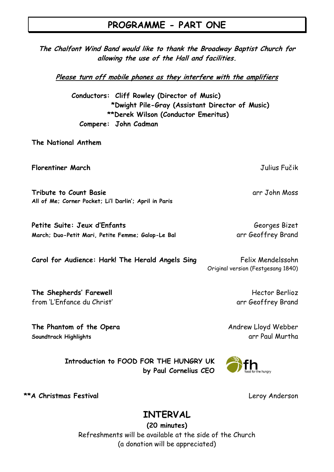### **PROGRAMME - PART ONE**

**The Chalfont Wind Band would like to thank the Broadway Baptist Church for allowing the use of the Hall and facilities.**

**Please turn off mobile phones as they interfere with the amplifiers**

**Conductors: Cliff Rowley (Director of Music) \*Dwight Pile-Gray (Assistant Director of Music) \*\*Derek Wilson (Conductor Emeritus) Compere: John Cadman**

**The National Anthem**

**Florentiner March** Julius Fučik

**Tribute to Count Basie** and the count of the count of the count of the count of the count of the count of the count of the count of the count of the count of the count of the count of the count of the count of the count o **All of Me; Corner Pocket; Li"l Darlin"; April in Paris**

**Petite Suite: Jeux d'Enfants** Georges Bizet March; Duo-Petit Mari, Petite Femme; Galop-Le Bal **and and State Contracts** Brand

**Carol for Audience: Hark! The Herald Angels Sing Felix Mendelssohn** Original version (Festgesang 1840)

**The Shepherds' Farewell Hector Berlioz Hector Berlioz** from 'L'Enfance du Christ' arr Geoffrey Brand

**The Phantom of the Opera** Andrew Lloyd Webber **Soundtrack Highlights** arr Paul Murtha

**Introduction to FOOD FOR THE HUNGRY UK by Paul Cornelius CEO**



**\*\*A Christmas Festival** Leroy Anderson

## **INTERVAL**

**(20 minutes)** Refreshments will be available at the side of the Church (a donation will be appreciated)